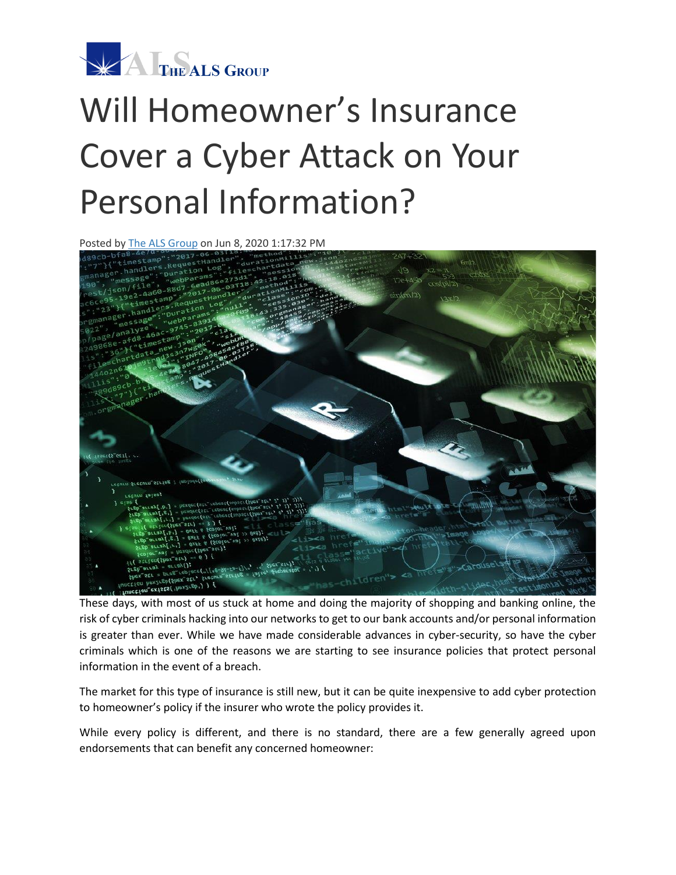

## Will Homeowner's Insurance Cover a Cyber Attack on Your Personal Information?

Posted by [The ALS Group](http://info.thealsgroup.com/blog/author/the-als-group) on Jun 8, 2020 1:17:32 PM



These days, with most of us stuck at home and doing the majority of shopping and banking online, the risk of cyber criminals hacking into our networks to get to our bank accounts and/or personal information is greater than ever. While we have made considerable advances in cyber-security, so have the cyber criminals which is one of the reasons we are starting to see insurance policies that protect personal information in the event of a breach.

The market for this type of insurance is still new, but it can be quite inexpensive to add cyber protection to homeowner's policy if the insurer who wrote the policy provides it.

While every policy is different, and there is no standard, there are a few generally agreed upon endorsements that can benefit any concerned homeowner: